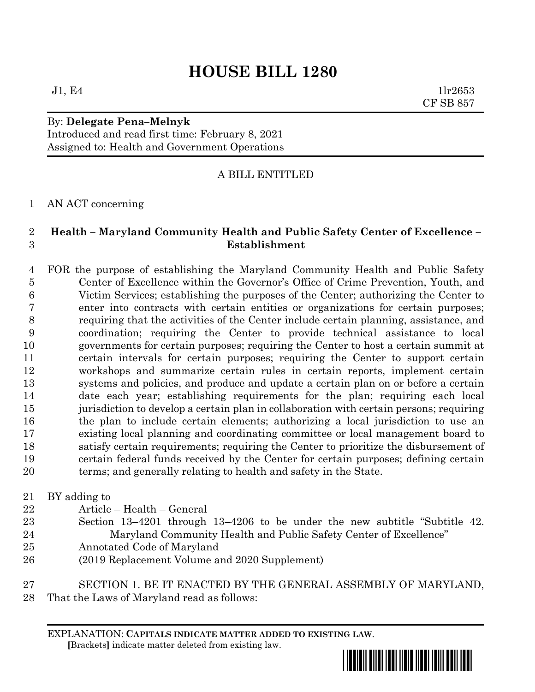# **HOUSE BILL 1280**

 $J1, E4$  1lr2653 CF SB 857

### By: **Delegate Pena–Melnyk** Introduced and read first time: February 8, 2021 Assigned to: Health and Government Operations

## A BILL ENTITLED

### AN ACT concerning

#### **Health – Maryland Community Health and Public Safety Center of Excellence – Establishment**

- FOR the purpose of establishing the Maryland Community Health and Public Safety Center of Excellence within the Governor's Office of Crime Prevention, Youth, and Victim Services; establishing the purposes of the Center; authorizing the Center to enter into contracts with certain entities or organizations for certain purposes; requiring that the activities of the Center include certain planning, assistance, and coordination; requiring the Center to provide technical assistance to local governments for certain purposes; requiring the Center to host a certain summit at certain intervals for certain purposes; requiring the Center to support certain workshops and summarize certain rules in certain reports, implement certain systems and policies, and produce and update a certain plan on or before a certain date each year; establishing requirements for the plan; requiring each local jurisdiction to develop a certain plan in collaboration with certain persons; requiring the plan to include certain elements; authorizing a local jurisdiction to use an existing local planning and coordinating committee or local management board to satisfy certain requirements; requiring the Center to prioritize the disbursement of certain federal funds received by the Center for certain purposes; defining certain terms; and generally relating to health and safety in the State.
- BY adding to
- Article Health General
- Section 13–4201 through 13–4206 to be under the new subtitle "Subtitle 42. Maryland Community Health and Public Safety Center of Excellence"
- Annotated Code of Maryland
- (2019 Replacement Volume and 2020 Supplement)
- SECTION 1. BE IT ENACTED BY THE GENERAL ASSEMBLY OF MARYLAND, That the Laws of Maryland read as follows:

EXPLANATION: **CAPITALS INDICATE MATTER ADDED TO EXISTING LAW**.  **[**Brackets**]** indicate matter deleted from existing law.

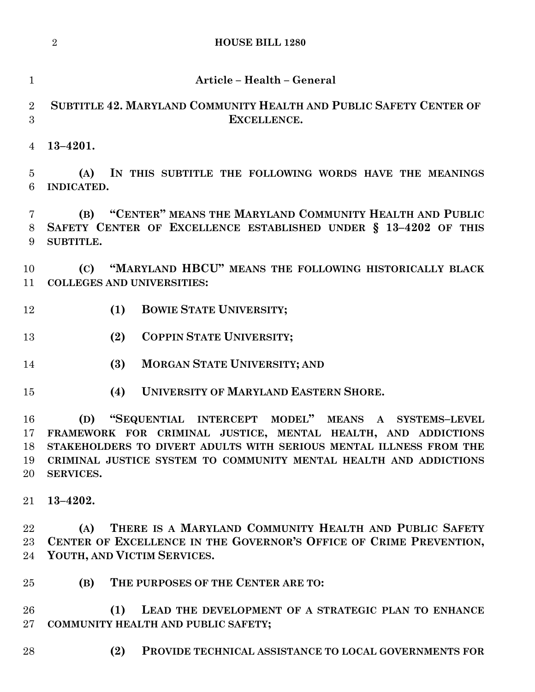|                            | $\overline{2}$<br><b>HOUSE BILL 1280</b>                                                                                                                                                                                                                                           |
|----------------------------|------------------------------------------------------------------------------------------------------------------------------------------------------------------------------------------------------------------------------------------------------------------------------------|
| $\mathbf{1}$               | Article - Health - General                                                                                                                                                                                                                                                         |
| $\overline{2}$<br>3        | SUBTITLE 42. MARYLAND COMMUNITY HEALTH AND PUBLIC SAFETY CENTER OF<br>EXCELLENCE.                                                                                                                                                                                                  |
| 4                          | $13 - 4201.$                                                                                                                                                                                                                                                                       |
| $\overline{5}$<br>6        | IN THIS SUBTITLE THE FOLLOWING WORDS HAVE THE MEANINGS<br>(A)<br>INDICATED.                                                                                                                                                                                                        |
| 7<br>8<br>9                | "CENTER" MEANS THE MARYLAND COMMUNITY HEALTH AND PUBLIC<br>(B)<br>SAFETY CENTER OF EXCELLENCE ESTABLISHED UNDER § 13-4202 OF THIS<br>SUBTITLE.                                                                                                                                     |
| 10<br>11                   | "MARYLAND HBCU" MEANS THE FOLLOWING HISTORICALLY BLACK<br>(C)<br><b>COLLEGES AND UNIVERSITIES:</b>                                                                                                                                                                                 |
| 12                         | <b>BOWIE STATE UNIVERSITY;</b><br>(1)                                                                                                                                                                                                                                              |
| 13                         | COPPIN STATE UNIVERSITY;<br>(2)                                                                                                                                                                                                                                                    |
| 14                         | (3)<br><b>MORGAN STATE UNIVERSITY; AND</b>                                                                                                                                                                                                                                         |
| 15                         | <b>UNIVERSITY OF MARYLAND EASTERN SHORE.</b><br>(4)                                                                                                                                                                                                                                |
| 16<br>17<br>18<br>19<br>20 | "SEQUENTIAL INTERCEPT MODEL" MEANS A SYSTEMS-LEVEL<br>(D)<br>FRAMEWORK FOR CRIMINAL JUSTICE, MENTAL HEALTH, AND ADDICTIONS<br>STAKEHOLDERS TO DIVERT ADULTS WITH SERIOUS MENTAL ILLNESS FROM THE<br>CRIMINAL JUSTICE SYSTEM TO COMMUNITY MENTAL HEALTH AND ADDICTIONS<br>SERVICES. |
| 21                         | $13 - 4202.$                                                                                                                                                                                                                                                                       |
| 22<br>23<br>24             | THERE IS A MARYLAND COMMUNITY HEALTH AND PUBLIC SAFETY<br>(A)<br>CENTER OF EXCELLENCE IN THE GOVERNOR'S OFFICE OF CRIME PREVENTION,<br>YOUTH, AND VICTIM SERVICES.                                                                                                                 |
| 25                         | THE PURPOSES OF THE CENTER ARE TO:<br>(B)                                                                                                                                                                                                                                          |
| 26<br>$27\,$               | (1)<br>LEAD THE DEVELOPMENT OF A STRATEGIC PLAN TO ENHANCE<br>COMMUNITY HEALTH AND PUBLIC SAFETY;                                                                                                                                                                                  |

**(2) PROVIDE TECHNICAL ASSISTANCE TO LOCAL GOVERNMENTS FOR**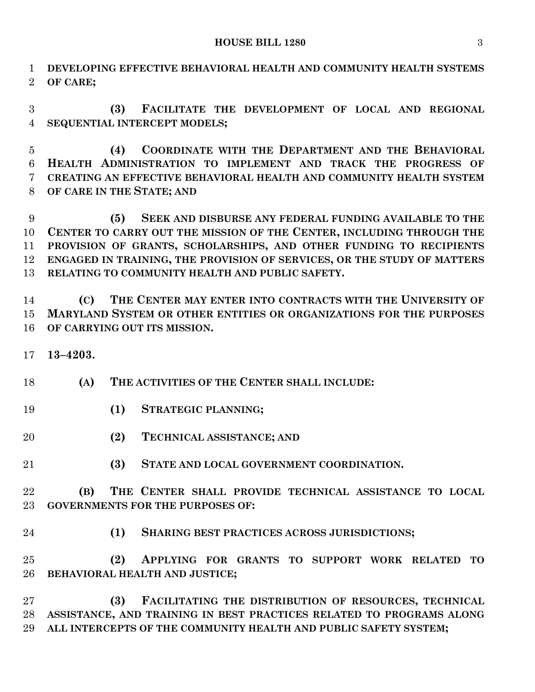#### **HOUSE BILL 1280** 3

 **DEVELOPING EFFECTIVE BEHAVIORAL HEALTH AND COMMUNITY HEALTH SYSTEMS OF CARE;**

 **(3) FACILITATE THE DEVELOPMENT OF LOCAL AND REGIONAL SEQUENTIAL INTERCEPT MODELS;**

 **(4) COORDINATE WITH THE DEPARTMENT AND THE BEHAVIORAL HEALTH ADMINISTRATION TO IMPLEMENT AND TRACK THE PROGRESS OF CREATING AN EFFECTIVE BEHAVIORAL HEALTH AND COMMUNITY HEALTH SYSTEM OF CARE IN THE STATE; AND**

 **(5) SEEK AND DISBURSE ANY FEDERAL FUNDING AVAILABLE TO THE CENTER TO CARRY OUT THE MISSION OF THE CENTER, INCLUDING THROUGH THE PROVISION OF GRANTS, SCHOLARSHIPS, AND OTHER FUNDING TO RECIPIENTS ENGAGED IN TRAINING, THE PROVISION OF SERVICES, OR THE STUDY OF MATTERS RELATING TO COMMUNITY HEALTH AND PUBLIC SAFETY.**

 **(C) THE CENTER MAY ENTER INTO CONTRACTS WITH THE UNIVERSITY OF MARYLAND SYSTEM OR OTHER ENTITIES OR ORGANIZATIONS FOR THE PURPOSES OF CARRYING OUT ITS MISSION.**

**13–4203.**

**(A) THE ACTIVITIES OF THE CENTER SHALL INCLUDE:**

- **(1) STRATEGIC PLANNING;**
- **(2) TECHNICAL ASSISTANCE; AND**
- **(3) STATE AND LOCAL GOVERNMENT COORDINATION.**

 **(B) THE CENTER SHALL PROVIDE TECHNICAL ASSISTANCE TO LOCAL GOVERNMENTS FOR THE PURPOSES OF:**

**(1) SHARING BEST PRACTICES ACROSS JURISDICTIONS;**

 **(2) APPLYING FOR GRANTS TO SUPPORT WORK RELATED TO BEHAVIORAL HEALTH AND JUSTICE;**

 **(3) FACILITATING THE DISTRIBUTION OF RESOURCES, TECHNICAL ASSISTANCE, AND TRAINING IN BEST PRACTICES RELATED TO PROGRAMS ALONG ALL INTERCEPTS OF THE COMMUNITY HEALTH AND PUBLIC SAFETY SYSTEM;**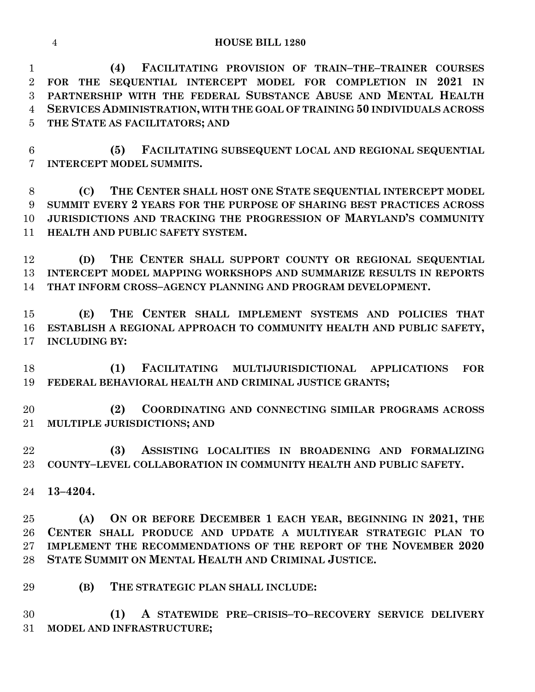**(4) FACILITATING PROVISION OF TRAIN–THE–TRAINER COURSES FOR THE SEQUENTIAL INTERCEPT MODEL FOR COMPLETION IN 2021 IN PARTNERSHIP WITH THE FEDERAL SUBSTANCE ABUSE AND MENTAL HEALTH SERVICES ADMINISTRATION, WITH THE GOAL OF TRAINING 50 INDIVIDUALS ACROSS THE STATE AS FACILITATORS; AND**

 **(5) FACILITATING SUBSEQUENT LOCAL AND REGIONAL SEQUENTIAL INTERCEPT MODEL SUMMITS.**

 **(C) THE CENTER SHALL HOST ONE STATE SEQUENTIAL INTERCEPT MODEL SUMMIT EVERY 2 YEARS FOR THE PURPOSE OF SHARING BEST PRACTICES ACROSS JURISDICTIONS AND TRACKING THE PROGRESSION OF MARYLAND'S COMMUNITY HEALTH AND PUBLIC SAFETY SYSTEM.**

 **(D) THE CENTER SHALL SUPPORT COUNTY OR REGIONAL SEQUENTIAL INTERCEPT MODEL MAPPING WORKSHOPS AND SUMMARIZE RESULTS IN REPORTS THAT INFORM CROSS–AGENCY PLANNING AND PROGRAM DEVELOPMENT.**

 **(E) THE CENTER SHALL IMPLEMENT SYSTEMS AND POLICIES THAT ESTABLISH A REGIONAL APPROACH TO COMMUNITY HEALTH AND PUBLIC SAFETY, INCLUDING BY:**

 **(1) FACILITATING MULTIJURISDICTIONAL APPLICATIONS FOR FEDERAL BEHAVIORAL HEALTH AND CRIMINAL JUSTICE GRANTS;**

 **(2) COORDINATING AND CONNECTING SIMILAR PROGRAMS ACROSS MULTIPLE JURISDICTIONS; AND**

 **(3) ASSISTING LOCALITIES IN BROADENING AND FORMALIZING COUNTY–LEVEL COLLABORATION IN COMMUNITY HEALTH AND PUBLIC SAFETY.**

**13–4204.**

 **(A) ON OR BEFORE DECEMBER 1 EACH YEAR, BEGINNING IN 2021, THE CENTER SHALL PRODUCE AND UPDATE A MULTIYEAR STRATEGIC PLAN TO IMPLEMENT THE RECOMMENDATIONS OF THE REPORT OF THE NOVEMBER 2020 STATE SUMMIT ON MENTAL HEALTH AND CRIMINAL JUSTICE.**

**(B) THE STRATEGIC PLAN SHALL INCLUDE:**

 **(1) A STATEWIDE PRE–CRISIS–TO–RECOVERY SERVICE DELIVERY MODEL AND INFRASTRUCTURE;**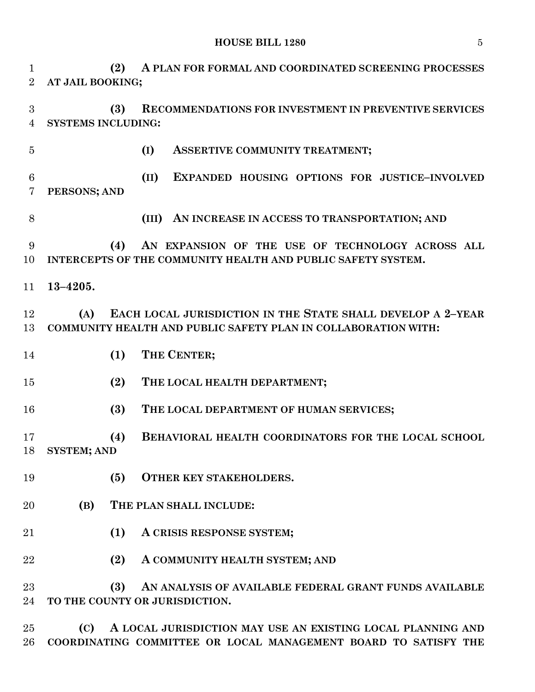**HOUSE BILL 1280** 5

 **(2) A PLAN FOR FORMAL AND COORDINATED SCREENING PROCESSES AT JAIL BOOKING; (3) RECOMMENDATIONS FOR INVESTMENT IN PREVENTIVE SERVICES SYSTEMS INCLUDING: (I) ASSERTIVE COMMUNITY TREATMENT; (II) EXPANDED HOUSING OPTIONS FOR JUSTICE–INVOLVED PERSONS; AND (III) AN INCREASE IN ACCESS TO TRANSPORTATION; AND (4) AN EXPANSION OF THE USE OF TECHNOLOGY ACROSS ALL INTERCEPTS OF THE COMMUNITY HEALTH AND PUBLIC SAFETY SYSTEM. 13–4205. (A) EACH LOCAL JURISDICTION IN THE STATE SHALL DEVELOP A 2–YEAR COMMUNITY HEALTH AND PUBLIC SAFETY PLAN IN COLLABORATION WITH: (1) THE CENTER; (2) THE LOCAL HEALTH DEPARTMENT; (3) THE LOCAL DEPARTMENT OF HUMAN SERVICES; (4) BEHAVIORAL HEALTH COORDINATORS FOR THE LOCAL SCHOOL SYSTEM; AND (5) OTHER KEY STAKEHOLDERS. (B) THE PLAN SHALL INCLUDE: (1) A CRISIS RESPONSE SYSTEM; (2) A COMMUNITY HEALTH SYSTEM; AND (3) AN ANALYSIS OF AVAILABLE FEDERAL GRANT FUNDS AVAILABLE TO THE COUNTY OR JURISDICTION.**

 **(C) A LOCAL JURISDICTION MAY USE AN EXISTING LOCAL PLANNING AND COORDINATING COMMITTEE OR LOCAL MANAGEMENT BOARD TO SATISFY THE**